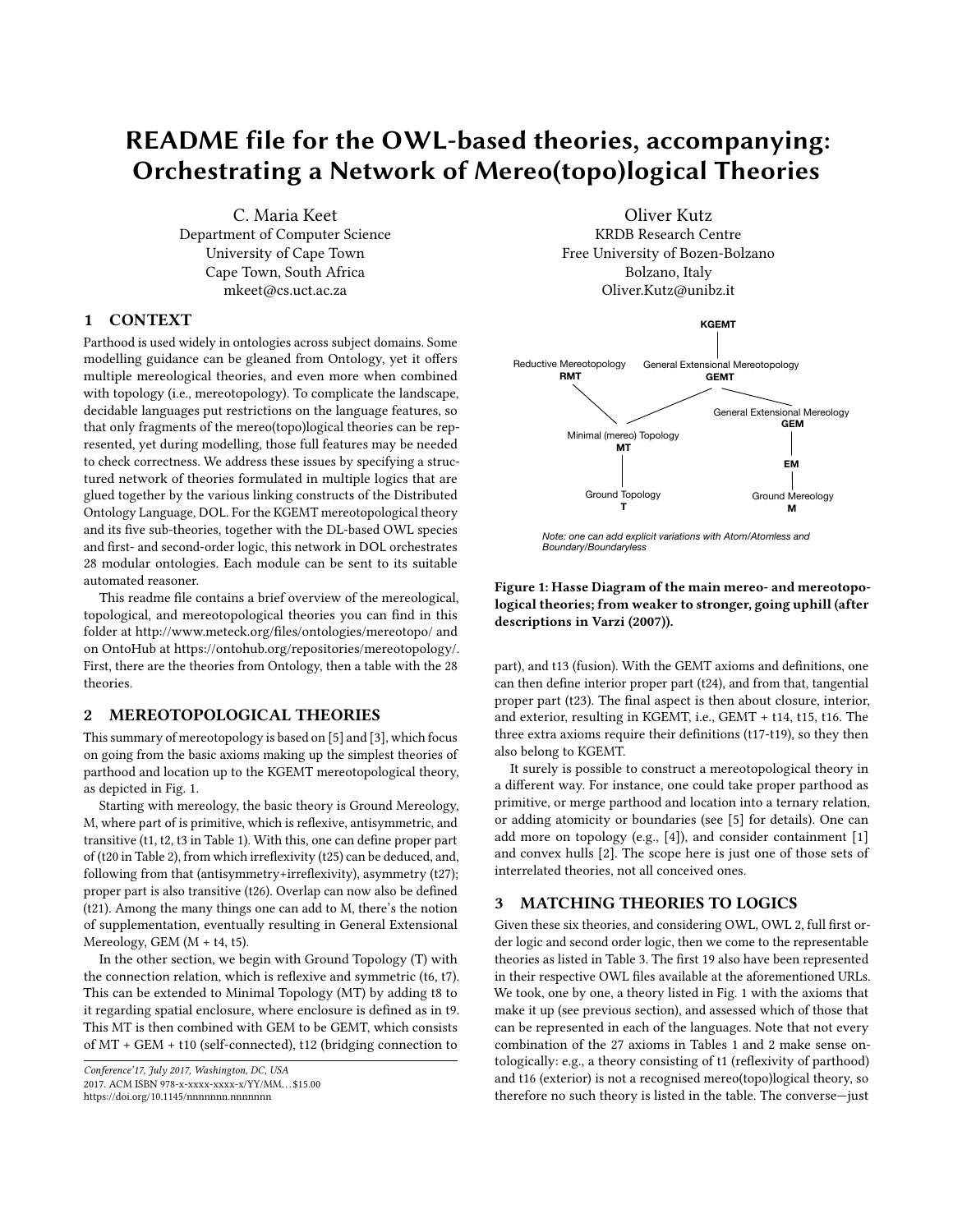# README file for the OWL-based theories, accompanying: Orchestrating a Network of Mereo(topo)logical Theories

C. Maria Keet Department of Computer Science University of Cape Town Cape Town, South Africa mkeet@cs.uct.ac.za

## 1 CONTEXT

Parthood is used widely in ontologies across subject domains. Some modelling guidance can be gleaned from Ontology, yet it offers multiple mereological theories, and even more when combined with topology (i.e., mereotopology). To complicate the landscape, decidable languages put restrictions on the language features, so that only fragments of the mereo(topo)logical theories can be represented, yet during modelling, those full features may be needed to check correctness. We address these issues by specifying a structured network of theories formulated in multiple logics that are glued together by the various linking constructs of the Distributed Ontology Language, DOL. For the KGEMT mereotopological theory and its five sub-theories, together with the DL-based OWL species and first- and second-order logic, this network in DOL orchestrates 28 modular ontologies. Each module can be sent to its suitable automated reasoner.

This readme file contains a brief overview of the mereological, topological, and mereotopological theories you can find in this folder at<http://www.meteck.org/files/ontologies/mereotopo/> and on OntoHub at [https://ontohub.org/repositories/mereotopology/.](https://ontohub.org/repositories/mereotopology/) First, there are the theories from Ontology, then a table with the 28 theories.

### 2 MEREOTOPOLOGICAL THEORIES

This summary of mereotopology is based on [\[5\]](#page-1-0) and [\[3\]](#page-1-1), which focus on going from the basic axioms making up the simplest theories of parthood and location up to the KGEMT mereotopological theory, as depicted in Fig. [1.](#page-0-0)

Starting with mereology, the basic theory is Ground Mereology, M, where part of is primitive, which is reflexive, antisymmetric, and transitive (t1, t2, t3 in Table [1\)](#page-1-2). With this, one can define proper part of (t20 in Table [2\)](#page-1-3), from which irreflexivity (t25) can be deduced, and, following from that (antisymmetry+irreflexivity), asymmetry (t27); proper part is also transitive (t26). Overlap can now also be defined (t21). Among the many things one can add to M, there's the notion of supplementation, eventually resulting in General Extensional Mereology, GEM (M + t4, t5). glued together by the various linking constrates of the Distributed of the properties of the Distributed Consideration of the teach-henotes, together with the DI-hast OWI. species and its fit and second-order logic, this m

In the other section, we begin with Ground Topology (T) with the connection relation, which is reflexive and symmetric (t6, t7). This can be extended to Minimal Topology (MT) by adding t8 to it regarding spatial enclosure, where enclosure is defined as in t9. This MT is then combined with GEM to be GEMT, which consists of MT + GEM + t10 (self-connected), t12 (bridging connection to

```
Conference'17, July 2017, Washington, DC, USA
2017. ACM ISBN 978-x-xxxx-xxxx-x/YY/MM. . . $15.00
```
Oliver Kutz KRDB Research Centre Free University of Bozen-Bolzano Bolzano, Italy Oliver.Kutz@unibz.it

<span id="page-0-0"></span>

*Note: one can add explicit variations with Atom/Atomless and Boundary/Boundaryless*

### Figure 1: Hasse Diagram of the main mereo- and mereotopological theories; from weaker to stronger, going uphill (after descriptions in Varzi (2007)).

part), and t13 (fusion). With the GEMT axioms and definitions, one can then define interior proper part (t24), and from that, tangential proper part (t23). The final aspect is then about closure, interior, and exterior, resulting in KGEMT, i.e., GEMT + t14, t15, t16. The three extra axioms require their definitions (t17-t19), so they then also belong to KGEMT.

It surely is possible to construct a mereotopological theory in a different way. For instance, one could take proper parthood as primitive, or merge parthood and location into a ternary relation, or adding atomicity or boundaries (see [\[5\]](#page-1-0) for details). One can add more on topology (e.g., [\[4\]](#page-1-4)), and consider containment [\[1\]](#page-1-5) and convex hulls [\[2\]](#page-1-6). The scope here is just one of those sets of interrelated theories, not all conceived ones.

## 3 MATCHING THEORIES TO LOGICS

Given these six theories, and considering OWL, OWL 2, full first order logic and second order logic, then we come to the representable theories as listed in Table [3.](#page-2-0) The first 19 also have been represented in their respective OWL files available at the aforementioned URLs. We took, one by one, a theory listed in Fig. [1](#page-0-0) with the axioms that make it up (see previous section), and assessed which of those that can be represented in each of the languages. Note that not every combination of the 27 axioms in Tables [1](#page-1-2) and [2](#page-1-3) make sense ontologically: e.g., a theory consisting of t1 (reflexivity of parthood) and t16 (exterior) is not a recognised mereo(topo)logical theory, so therefore no such theory is listed in the table. The converse—just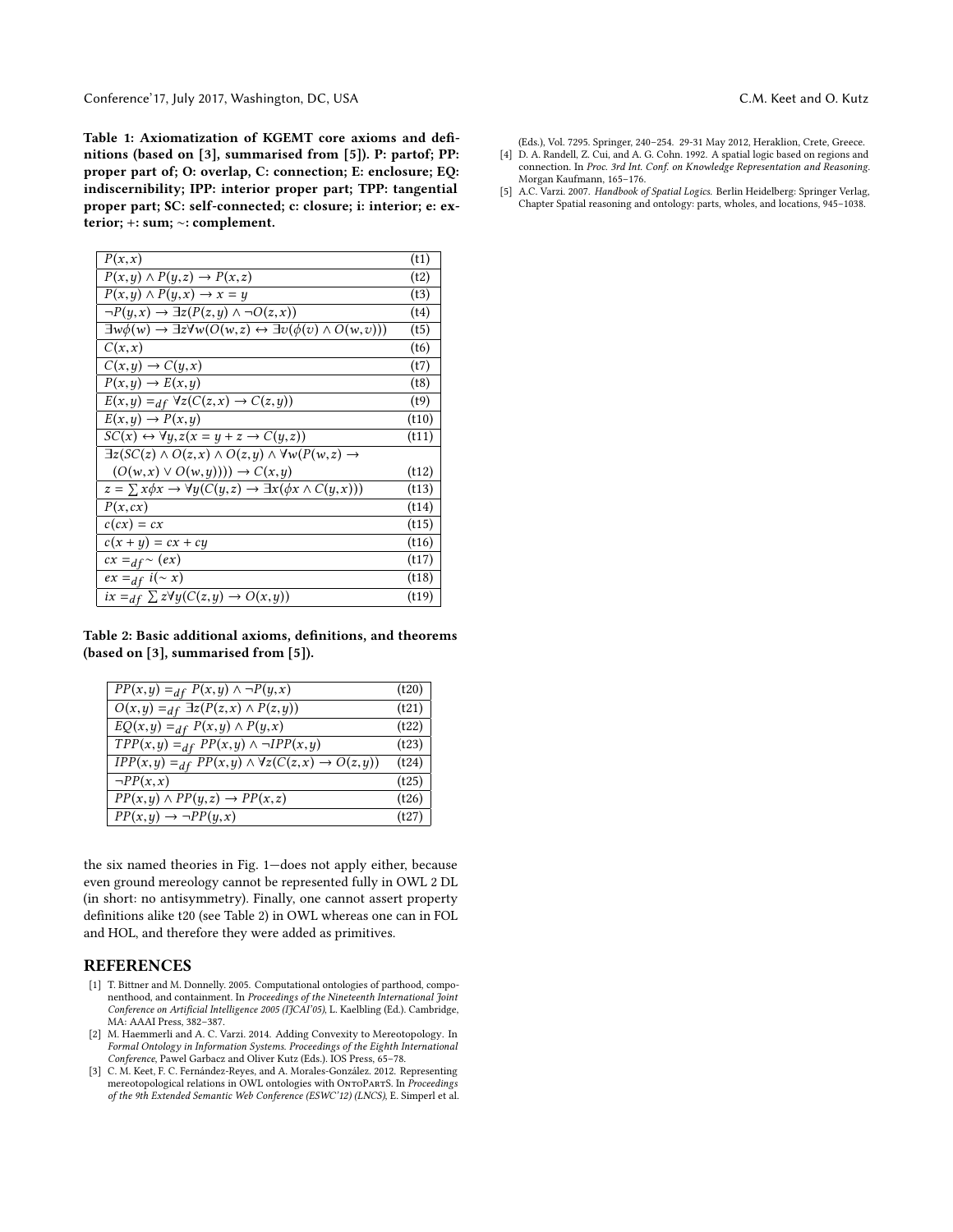Conference'17, July 2017, Washington, DC, USA C.M. Conference'17, July 2017, Washington, DC, USA C.M. C.M. Keet and O. Kutz

<span id="page-1-2"></span>Table 1: Axiomatization of KGEMT core axioms and definitions (based on [\[3\]](#page-1-1), summarised from [\[5\]](#page-1-0)). P: partof; PP: proper part of; O: overlap, C: connection; E: enclosure; EQ: indiscernibility; IPP: interior proper part; TPP: tangential proper part; SC: self-connected; c: closure; i: interior; e: exterior; +: sum; ∼: complement.

| P(x,x)                                                                                                          | (t1)  |
|-----------------------------------------------------------------------------------------------------------------|-------|
| $P(x, y) \wedge P(y, z) \rightarrow P(x, z)$                                                                    | (t2)  |
| $P(x, y) \wedge P(y, x) \rightarrow x = y$                                                                      | (t3)  |
| $\neg P(y,x) \rightarrow \exists z (P(z,y) \land \neg O(z,x))$                                                  | (t4)  |
| $\exists w \phi(w) \rightarrow \exists z \forall w (O(w, z) \leftrightarrow \exists v (\phi(v) \land O(w, v)))$ | (t5)  |
| C(x,x)                                                                                                          | (t6)  |
| $C(x,y) \rightarrow C(y,x)$                                                                                     | (t7)  |
| $P(x, y) \rightarrow E(x, y)$                                                                                   | (t8)  |
| $E(x,y) =_{df} \forall z (C(z,x) \rightarrow C(z,y))$                                                           | (t9)  |
| $E(x, y) \rightarrow P(x, y)$                                                                                   | (t10) |
| $SC(x) \leftrightarrow \forall y, z(x=y+z \rightarrow C(y,z))$                                                  | (t11) |
| $\exists z (SC(z) \land O(z, x) \land O(z, y) \land \forall w (P(w, z) \rightarrow$                             |       |
| $(O(w, x) \vee O(w, y))) \rightarrow C(x, y)$                                                                   | (t12) |
| $z = \sum x \phi x \rightarrow \forall y (C(y, z) \rightarrow \exists x (\phi x \land C(y, x)))$                | (t13) |
| P(x, cx)                                                                                                        | (t14) |
| $c(cx) = cx$                                                                                                    | (t15) |
| $c(x + y) = cx + cy$                                                                                            | (t16) |
| $cx =_{df} \sim (ex)$                                                                                           | (t17) |
| $ex =_{df} i(\sim x)$                                                                                           | (t18) |
| $ix =_{df} \sum z\forall y (C(z, y) \rightarrow O(x, y))$                                                       | (t19) |

<span id="page-1-3"></span>Table 2: Basic additional axioms, definitions, and theorems (based on [\[3\]](#page-1-1), summarised from [\[5\]](#page-1-0)).

| $PP(x, y) =_{df} P(x, y) \wedge \neg P(y, x)$                         | (t20) |
|-----------------------------------------------------------------------|-------|
| $O(x,y) =_{df} \exists z (P(z,x) \wedge P(z,y))$                      | (t21) |
| $EQ(x,y) =_{df} P(x,y) \wedge P(y,x)$                                 | (t22) |
| $TPP(x, y) =_{df} PP(x, y) \land \neg IPP(x, y)$                      | (t23) |
| $IPP(x,y) =_{df} PP(x,y) \land \forall z (C(z,x) \rightarrow O(z,y))$ | (t24) |
| $\neg PP(x,x)$                                                        | (t25) |
| $PP(x, y) \wedge PP(y, z) \rightarrow PP(x, z)$                       | (t26) |
| $PP(x, y) \rightarrow \neg PP(y, x)$                                  | (t27) |
|                                                                       |       |

the six named theories in Fig. [1—](#page-0-0)does not apply either, because even ground mereology cannot be represented fully in OWL 2 DL (in short: no antisymmetry). Finally, one cannot assert property definitions alike t20 (see Table [2\)](#page-1-3) in OWL whereas one can in FOL and HOL, and therefore they were added as primitives.

## REFERENCES

- <span id="page-1-5"></span>[1] T. Bittner and M. Donnelly. 2005. Computational ontologies of parthood, componenthood, and containment. In Proceedings of the Nineteenth International Joint Conference on Artificial Intelligence 2005 (IJCAI'05), L. Kaelbling (Ed.). Cambridge, MA: AAAI Press, 382–387.
- <span id="page-1-6"></span>[2] M. Haemmerli and A. C. Varzi. 2014. Adding Convexity to Mereotopology. In Formal Ontology in Information Systems. Proceedings of the Eighth International Conference, Pawel Garbacz and Oliver Kutz (Eds.). IOS Press, 65–78.
- <span id="page-1-1"></span>[3] C. M. Keet, F. C. Fernández-Reyes, and A. Morales-González. 2012. Representing mereotopological relations in OWL ontologies with ONTOPARTS. In Proceedings of the 9th Extended Semantic Web Conference (ESWC'12) (LNCS), E. Simperl et al.

(Eds.), Vol. 7295. Springer, 240–254. 29-31 May 2012, Heraklion, Crete, Greece.

- <span id="page-1-4"></span>[4] D. A. Randell, Z. Cui, and A. G. Cohn. 1992. A spatial logic based on regions and connection. In Proc. 3rd Int. Conf. on Knowledge Representation and Reasoning. Morgan Kaufmann, 165–176.
- <span id="page-1-0"></span>[5] A.C. Varzi. 2007. Handbook of Spatial Logics. Berlin Heidelberg: Springer Verlag, Chapter Spatial reasoning and ontology: parts, wholes, and locations, 945–1038.